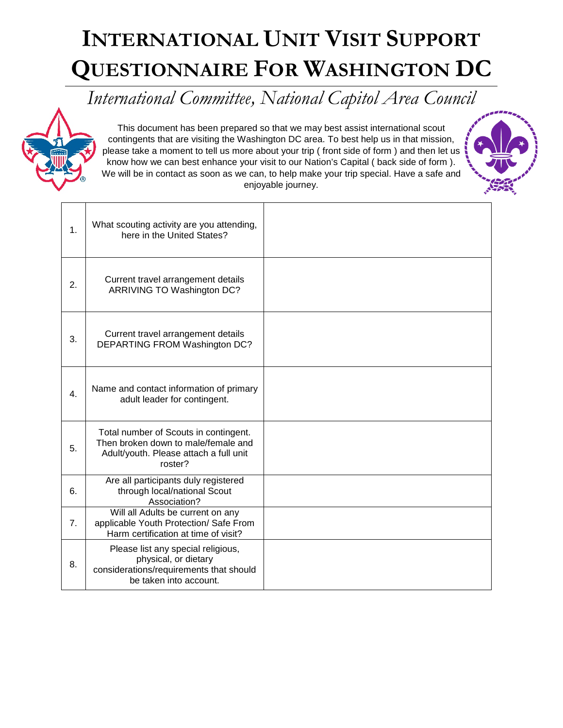## **INTERNATIONAL UNIT VISIT SUPPORT QUESTIONNAIRE FOR WASHINGTON DC**

*International Committee, National Capitol Area Council*



This document has been prepared so that we may best assist international scout contingents that are visiting the Washington DC area. To best help us in that mission, please take a moment to tell us more about your trip ( front side of form ) and then let us know how we can best enhance your visit to our Nation's Capital ( back side of form ). We will be in contact as soon as we can, to help make your trip special. Have a safe and enjoyable journey.



| 1. | What scouting activity are you attending,<br>here in the United States?                                                           |  |
|----|-----------------------------------------------------------------------------------------------------------------------------------|--|
| 2. | Current travel arrangement details<br>ARRIVING TO Washington DC?                                                                  |  |
| 3. | Current travel arrangement details<br>DEPARTING FROM Washington DC?                                                               |  |
| 4. | Name and contact information of primary<br>adult leader for contingent.                                                           |  |
| 5. | Total number of Scouts in contingent.<br>Then broken down to male/female and<br>Adult/youth. Please attach a full unit<br>roster? |  |
| 6. | Are all participants duly registered<br>through local/national Scout<br>Association?                                              |  |
| 7. | Will all Adults be current on any<br>applicable Youth Protection/ Safe From<br>Harm certification at time of visit?               |  |
| 8. | Please list any special religious,<br>physical, or dietary<br>considerations/requirements that should<br>be taken into account.   |  |